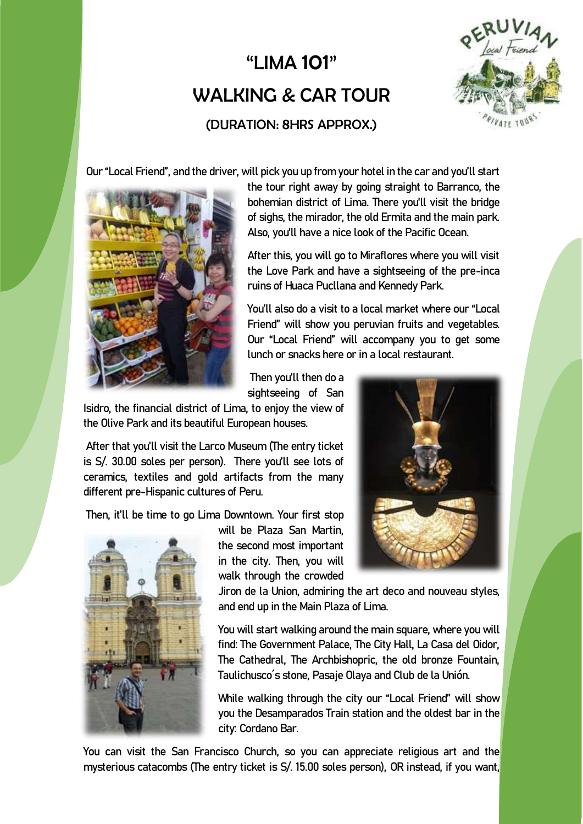## "LIMA 101" WALKING & CAR TOUR (DURATION: 8HRS APPROX.)



Our "Local Friend", and the driver, will pick you up from your hotel in the car and you'll start



the tour right away by going straight to Barranco, the bohemian district of Lima. There you'll visit the bridge of sighs, the mirador, the old Ermita and the main park. Also, you'll have a nice look of the Pacific Ocean.

After this, you will go to Miraflores where you will visit the Love Park and have a sightseeing of the pre-inca ruins of Huaca Pucllana and Kennedy Park.

You'll also do a visit to a local market where our "Local Friend" will show you peruvian fruits and vegetables. Our "Local Friend" will accompany you to get some lunch or snacks here or in a local restaurant.

Then you'll then do a sightseeing of San

Isidro, the financial district of Lima, to enjoy the view of the Olive Park and its beautiful European houses.

After that you'll visit the Larco Museum (The entry ticket is S/. 30.00 soles per person). There you'll see lots of ceramics, textiles and gold artifacts from the many different pre-Hispanic cultures of Peru.

Then, it'll be time to go Lima Downtown. Your first stop



will be Plaza San Martin, the second most important in the city. Then, you will walk through the crowded

Jiron de la Union, admiring the art deco and nouveau styles, and end up in the Main Plaza of Lima.

You will start walking around the main square, where you will find: The Government Palace, The City Hall, La Casa del Oidor, The Cathedral, The Archbishopric, the old bronze Fountain, Taulichusco´s stone, Pasaje Olaya and Club de la Unión.

While walking through the city our "Local Friend" will show you the Desamparados Train station and the oldest bar in the city: Cordano Bar.

You can visit the San Francisco Church, so you can appreciate religious art and the mysterious catacombs (The entry ticket is S/. 15.00 soles person), OR instead, if you want,